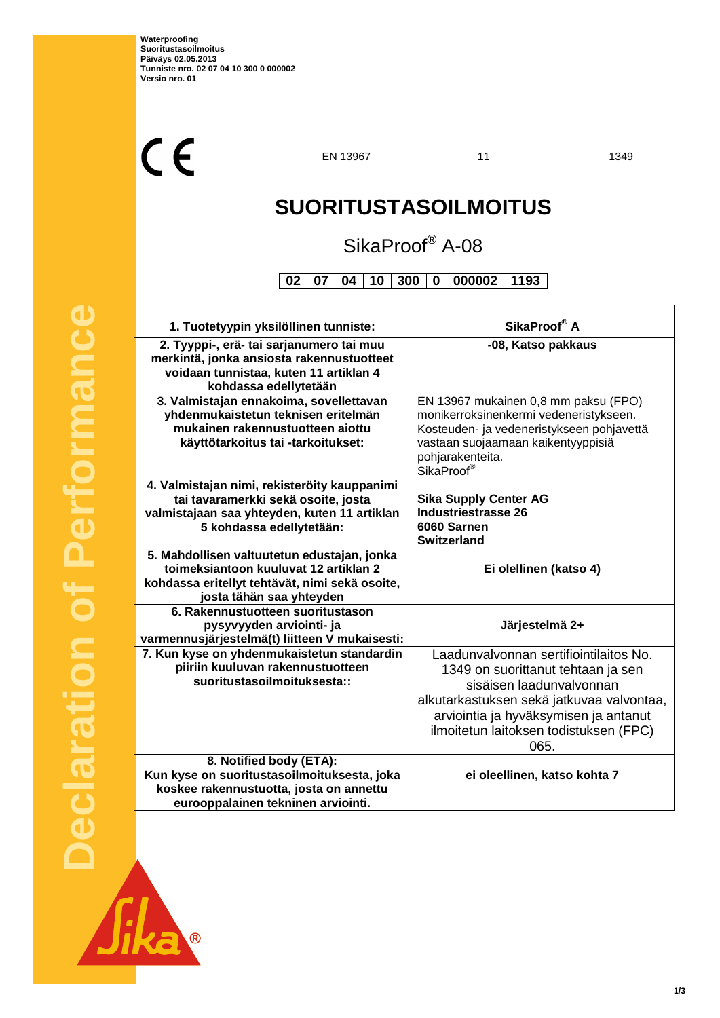$C<sub>f</sub>$ 

EN 13967 11 1349

# **SUORITUSTASOILMOITUS**

# SikaProof® A-08

**02 07 04 10 300 0 000002 1193**

| 1. Tuotetyypin yksilöllinen tunniste:                                                                                                                              | SikaProof <sup>®</sup> A                                                                                                                                                                                                                         |
|--------------------------------------------------------------------------------------------------------------------------------------------------------------------|--------------------------------------------------------------------------------------------------------------------------------------------------------------------------------------------------------------------------------------------------|
| 2. Tyyppi-, erä- tai sarjanumero tai muu<br>merkintä, jonka ansiosta rakennustuotteet<br>voidaan tunnistaa, kuten 11 artiklan 4<br>kohdassa edellytetään           | -08, Katso pakkaus                                                                                                                                                                                                                               |
| 3. Valmistajan ennakoima, sovellettavan<br>yhdenmukaistetun teknisen eritelmän<br>mukainen rakennustuotteen aiottu<br>käyttötarkoitus tai -tarkoitukset:           | EN 13967 mukainen 0,8 mm paksu (FPO)<br>monikerroksinenkermi vedeneristykseen.<br>Kosteuden- ja vedeneristykseen pohjavettä<br>vastaan suojaamaan kaikentyyppisiä<br>pohjarakenteita.                                                            |
| 4. Valmistajan nimi, rekisteröity kauppanimi<br>tai tavaramerkki sekä osoite, josta<br>valmistajaan saa yhteyden, kuten 11 artiklan<br>5 kohdassa edellytetään:    | SikaProof <sup>®</sup><br><b>Sika Supply Center AG</b><br><b>Industriestrasse 26</b><br>6060 Sarnen<br><b>Switzerland</b>                                                                                                                        |
| 5. Mahdollisen valtuutetun edustajan, jonka<br>toimeksiantoon kuuluvat 12 artiklan 2<br>kohdassa eritellyt tehtävät, nimi sekä osoite,<br>josta tähän saa yhteyden | Ei olellinen (katso 4)                                                                                                                                                                                                                           |
| 6. Rakennustuotteen suoritustason<br>pysyvyyden arviointi- ja<br>varmennusjärjestelmä(t) liitteen V mukaisesti:                                                    | Järjestelmä 2+                                                                                                                                                                                                                                   |
| 7. Kun kyse on yhdenmukaistetun standardin<br>piiriin kuuluvan rakennustuotteen<br>suoritustasoilmoituksesta::                                                     | Laadunvalvonnan sertifiointilaitos No.<br>1349 on suorittanut tehtaan ja sen<br>sisäisen laadunvalvonnan<br>alkutarkastuksen sekä jatkuvaa valvontaa,<br>arviointia ja hyväksymisen ja antanut<br>ilmoitetun laitoksen todistuksen (FPC)<br>065. |
| 8. Notified body (ETA):<br>Kun kyse on suoritustasoilmoituksesta, joka<br>koskee rakennustuotta, josta on annettu<br>eurooppalainen tekninen arviointi.            | ei oleellinen, katso kohta 7                                                                                                                                                                                                                     |

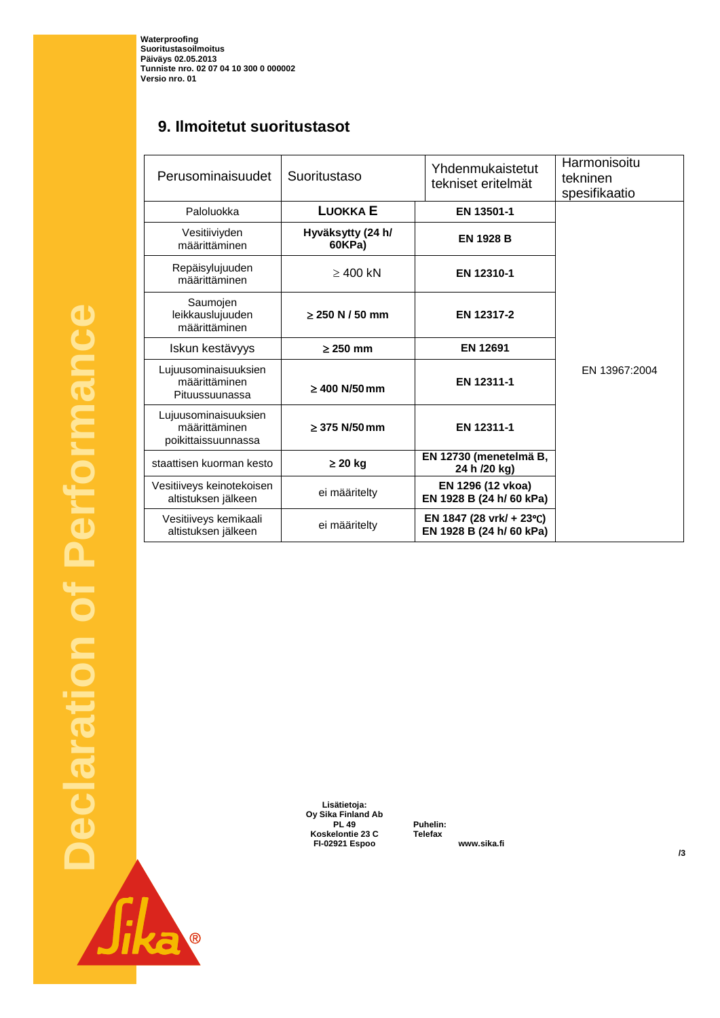**Waterproofing Suoritustasoilmoitus Päiväys 02.05.2013 Tunniste nro. 02 07 04 10 300 0 000002 Versio nro. 01**

# **9. Ilmoitetut suoritustasot**

| Perusominaisuudet                                            | Suoritustaso                | Yhdenmukaistetut<br>tekniset eritelmät               | Harmonisoitu<br>tekninen<br>spesifikaatio |
|--------------------------------------------------------------|-----------------------------|------------------------------------------------------|-------------------------------------------|
| Paloluokka                                                   | <b>LUOKKAE</b>              | EN 13501-1                                           |                                           |
| Vesitiiviyden<br>määrittäminen                               | Hyväksytty (24 h/<br>60KPa) | <b>EN 1928 B</b>                                     |                                           |
| Repäisylujuuden<br>määrittäminen                             | $\geq$ 400 kN               | EN 12310-1                                           |                                           |
| Saumojen<br>leikkauslujuuden<br>määrittäminen                | $\geq$ 250 N / 50 mm        | EN 12317-2                                           |                                           |
| Iskun kestävyys                                              | $\geq$ 250 mm               | <b>EN 12691</b>                                      |                                           |
| Lujuusominaisuuksien<br>määrittäminen<br>Pituussuunassa      | $\geq 400$ N/50 mm          | EN 12311-1                                           | EN 13967:2004                             |
| Lujuusominaisuuksien<br>määrittäminen<br>poikittaissuunnassa | $\geq$ 375 N/50 mm          | EN 12311-1                                           |                                           |
| staattisen kuorman kesto                                     | $\geq$ 20 kg                | EN 12730 (menetelmä B,<br>24 h /20 kg)               |                                           |
| Vesitiiveys keinotekoisen<br>altistuksen jälkeen             | ei määritelty               | EN 1296 (12 vkoa)<br>EN 1928 B (24 h/ 60 kPa)        |                                           |
| Vesitiiveys kemikaali<br>altistuksen jälkeen                 | ei määritelty               | EN 1847 (28 vrk/ + 23°C)<br>EN 1928 B (24 h/ 60 kPa) |                                           |

**Declaration of Performance**  Performance  $\overline{ }$ Declaration de

**Lisätietoja: Oy Sika Finland Ab PL 49** Puhelin:<br> **ADDREGESCERTED**<br> **+35 C** Telefax **Koskelontie 23 C Telefax +358 9 511 43300 FI-02921 Espoo www.sika.fi**

**/3**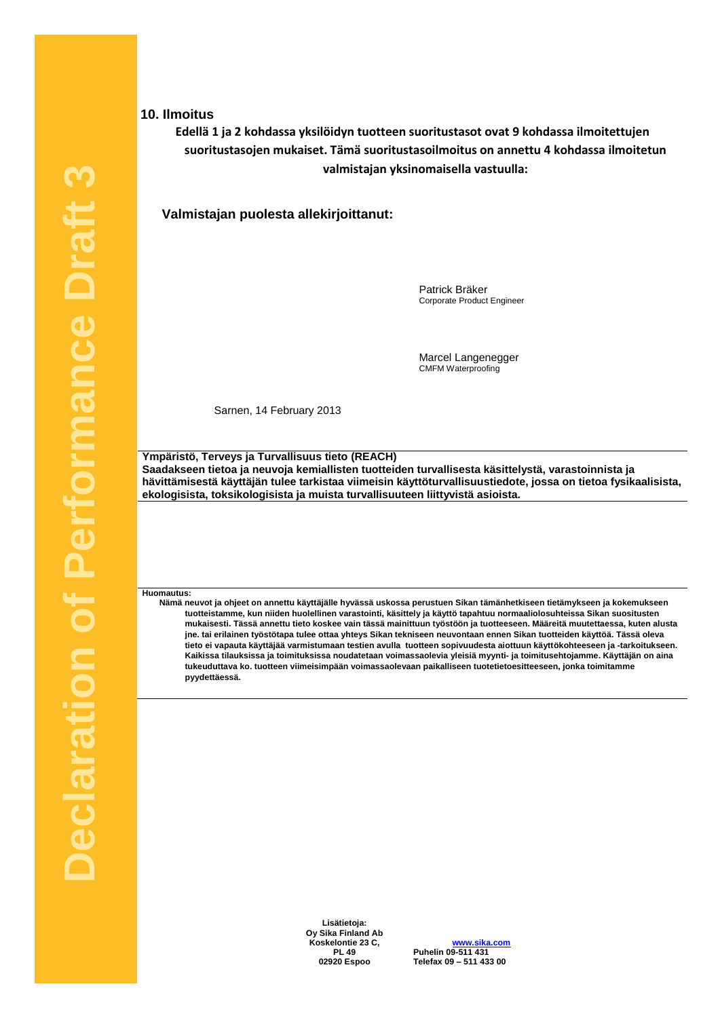### **10. Ilmoitus**

# **Edellä 1 ja 2 kohdassa yksilöidyn tuotteen suoritustasot ovat 9 kohdassa ilmoitettujen suoritustasojen mukaiset. Tämä suoritustasoilmoitus on annettu 4 kohdassa ilmoitetun valmistajan yksinomaisella vastuulla:**

**Valmistajan puolesta allekirjoittanut:**

Patrick Bräker Corporate Product Engineer

Marcel Langenegger CMFM Waterproofing

Sarnen, 14 February 2013

**Ympäristö, Terveys ja Turvallisuus tieto (REACH) Saadakseen tietoa ja neuvoja kemiallisten tuotteiden turvallisesta käsittelystä, varastoinnista ja hävittämisestä käyttäjän tulee tarkistaa viimeisin käyttöturvallisuustiedote, jossa on tietoa fysikaalisista, ekologisista, toksikologisista ja muista turvallisuuteen liittyvistä asioista.**

#### **Huomautus:**

**Nämä neuvot ja ohjeet on annettu käyttäjälle hyvässä uskossa perustuen Sikan tämänhetkiseen tietämykseen ja kokemukseen tuotteistamme, kun niiden huolellinen varastointi, käsittely ja käyttö tapahtuu normaaliolosuhteissa Sikan suositusten mukaisesti. Tässä annettu tieto koskee vain tässä mainittuun työstöön ja tuotteeseen. Määreitä muutettaessa, kuten alusta jne. tai erilainen työstötapa tulee ottaa yhteys Sikan tekniseen neuvontaan ennen Sikan tuotteiden käyttöä. Tässä oleva tieto ei vapauta käyttäjää varmistumaan testien avulla tuotteen sopivuudesta aiottuun käyttökohteeseen ja -tarkoitukseen. Kaikissa tilauksissa ja toimituksissa noudatetaan voimassaolevia yleisiä myynti- ja toimitusehtojamme. Käyttäjän on aina tukeuduttava ko. tuotteen viimeisimpään voimassaolevaan paikalliseen tuotetietoesitteeseen, jonka toimitamme pyydettäessä.**

> **Lisätietoja: Oy Sika Finland Ab Koskelontie 23 C, PL 49**

**www.sika.com Puhelin 09-511 431 +358 9 511 431 02920 Espoo Telefax 09 – 511 433 00 +358 9 511 433 300**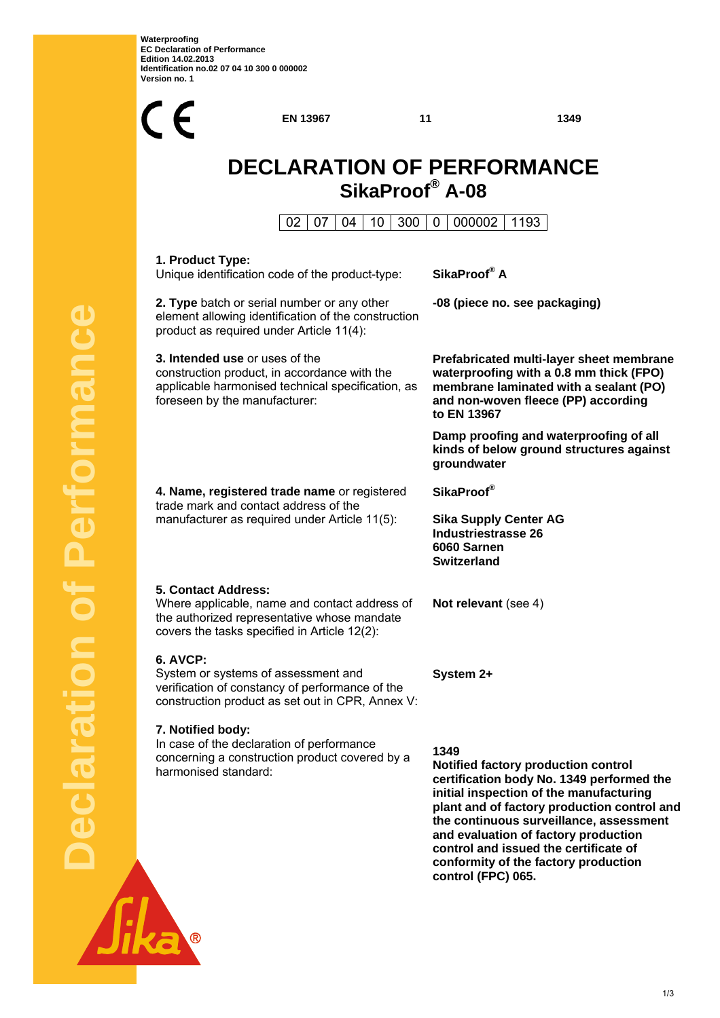

**EN 13967** 11 1349

# **DECLARATION OF PERFORMANCE SikaProof® A-08**

02 07 04 10 300 0 000002 1193

| SikaProof® A                                                                                                                                                                                                                                                                                                                                                                 |  |
|------------------------------------------------------------------------------------------------------------------------------------------------------------------------------------------------------------------------------------------------------------------------------------------------------------------------------------------------------------------------------|--|
| -08 (piece no. see packaging)                                                                                                                                                                                                                                                                                                                                                |  |
| Prefabricated multi-layer sheet membrane<br>waterproofing with a 0.8 mm thick (FPO)<br>membrane laminated with a sealant (PO)<br>and non-woven fleece (PP) according<br>to EN 13967                                                                                                                                                                                          |  |
| Damp proofing and waterproofing of all<br>kinds of below ground structures against<br>groundwater                                                                                                                                                                                                                                                                            |  |
| SikaProof <sup>®</sup>                                                                                                                                                                                                                                                                                                                                                       |  |
| <b>Sika Supply Center AG</b><br><b>Industriestrasse 26</b><br>6060 Sarnen<br><b>Switzerland</b>                                                                                                                                                                                                                                                                              |  |
| Not relevant (see 4)                                                                                                                                                                                                                                                                                                                                                         |  |
| System 2+                                                                                                                                                                                                                                                                                                                                                                    |  |
| 1349<br>Notified factory production control<br>certification body No. 1349 performed the<br>initial inspection of the manufacturing<br>plant and of factory production control and<br>the continuous surveillance, assessment<br>and evaluation of factory production<br>control and issued the certificate of<br>conformity of the factory production<br>control (FPC) 065. |  |
|                                                                                                                                                                                                                                                                                                                                                                              |  |

 $\overline{\circledR}$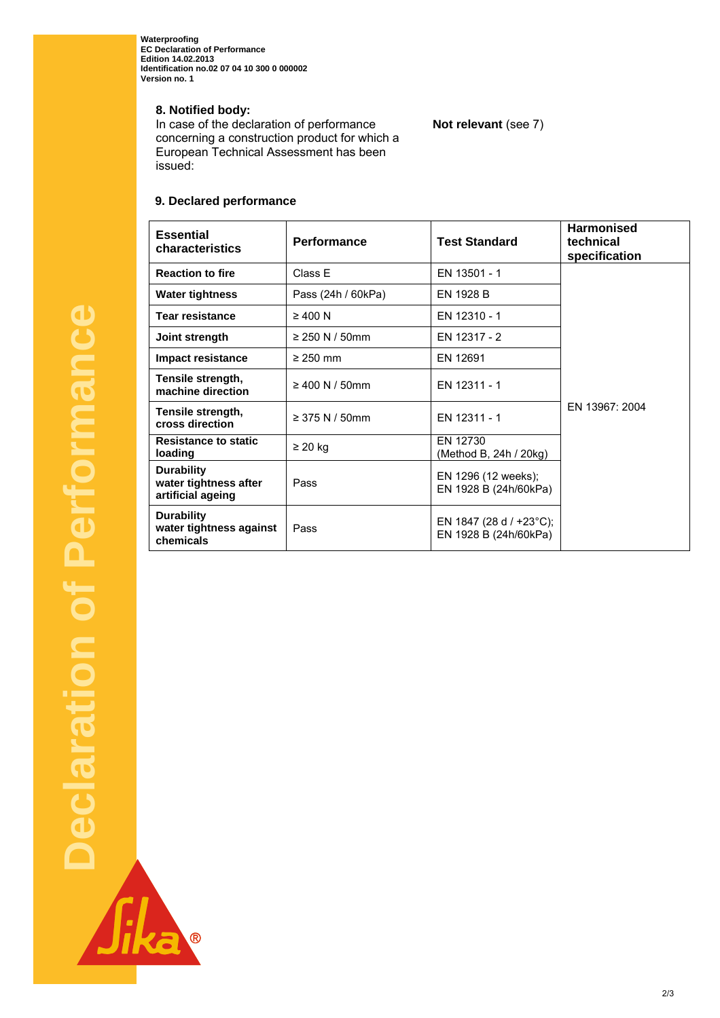**Waterproofing EC Declaration of Performance Edition 14.02.2013 Identification no.02 07 04 10 300 0 000002 Version no. 1** 

**8. Notified body:** 

In case of the declaration of performance concerning a construction product for which a European Technical Assessment has been issued:

**Not relevant** (see 7)

# **9. Declared performance**

| <b>Essential</b><br>characteristics                             | <b>Performance</b> | <b>Test Standard</b>                                        | <b>Harmonised</b><br>technical<br>specification |
|-----------------------------------------------------------------|--------------------|-------------------------------------------------------------|-------------------------------------------------|
| <b>Reaction to fire</b>                                         | Class E            | EN 13501 - 1                                                |                                                 |
| <b>Water tightness</b>                                          | Pass (24h / 60kPa) | EN 1928 B                                                   |                                                 |
| <b>Tear resistance</b>                                          | $\geq 400$ N       | EN 12310 - 1                                                |                                                 |
| Joint strength                                                  | ≥ 250 N / 50mm     | EN 12317 - 2                                                |                                                 |
| <b>Impact resistance</b>                                        | $\geq$ 250 mm      | EN 12691                                                    |                                                 |
| Tensile strength,<br>machine direction                          | ≥ 400 N / 50mm     | EN 12311 - 1                                                |                                                 |
| Tensile strength,<br>cross direction                            | ≥ 375 N / 50mm     | EN 12311 - 1                                                | FN 13967: 2004                                  |
| <b>Resistance to static</b><br>loading                          | $\geq$ 20 kg       | EN 12730<br>(Method B, 24h / 20kg)                          |                                                 |
| <b>Durability</b><br>water tightness after<br>artificial ageing | Pass               | EN 1296 (12 weeks);<br>EN 1928 B (24h/60kPa)                |                                                 |
| <b>Durability</b><br>water tightness against<br>chemicals       | Pass               | EN 1847 (28 d / +23 $^{\circ}$ C);<br>EN 1928 B (24h/60kPa) |                                                 |

R